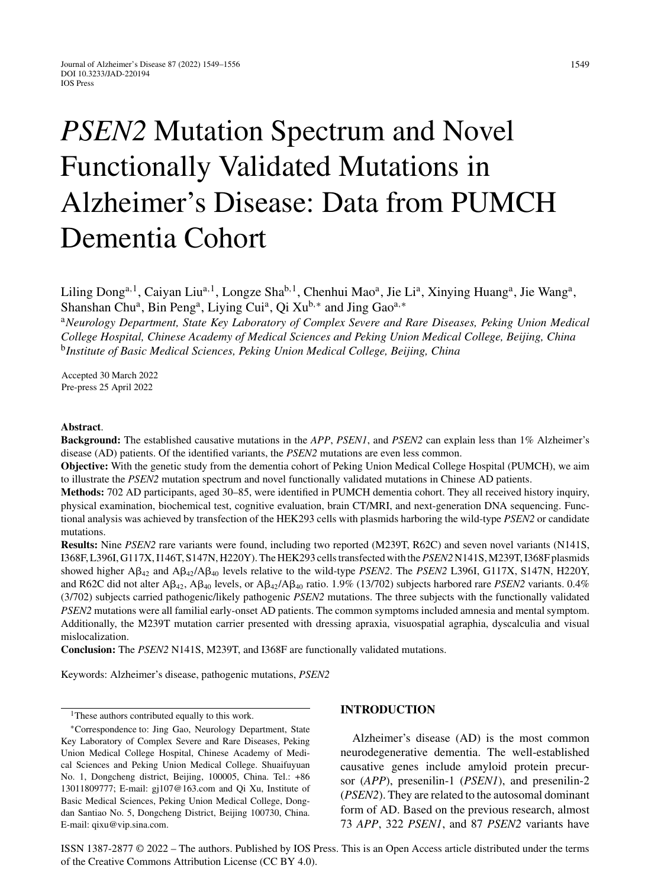# *PSEN2* Mutation Spectrum and Novel Functionally Validated Mutations in Alzheimer's Disease: Data from PUMCH Dementia Cohort

Liling Dong<sup>a, 1</sup>, Caiyan Liu<sup>a, 1</sup>, Longze Sha<sup>b, 1</sup>, Chenhui Mao<sup>a</sup>, Jie Li<sup>a</sup>, Xinying Huang<sup>a</sup>, Jie Wang<sup>a</sup>, Shanshan Chu<sup>a</sup>, Bin Peng<sup>a</sup>, Liying Cui<sup>a</sup>, Qi Xu<sup>b,∗</sup> and Jing Gao<sup>a,∗</sup>

<sup>a</sup>*Neurology Department, State Key Laboratory of Complex Severe and Rare Diseases, Peking Union Medical College Hospital, Chinese Academy of Medical Sciences and Peking Union Medical College, Beijing, China* <sup>b</sup>*Institute of Basic Medical Sciences, Peking Union Medical College, Beijing, China*

Accepted 30 March 2022 Pre-press 25 April 2022

#### **Abstract**.

**Background:** The established causative mutations in the *APP*, *PSEN1*, and *PSEN2* can explain less than 1% Alzheimer's disease (AD) patients. Of the identified variants, the *PSEN2* mutations are even less common.

**Objective:** With the genetic study from the dementia cohort of Peking Union Medical College Hospital (PUMCH), we aim to illustrate the *PSEN2* mutation spectrum and novel functionally validated mutations in Chinese AD patients.

**Methods:** 702 AD participants, aged 30–85, were identified in PUMCH dementia cohort. They all received history inquiry, physical examination, biochemical test, cognitive evaluation, brain CT/MRI, and next-generation DNA sequencing. Functional analysis was achieved by transfection of the HEK293 cells with plasmids harboring the wild-type *PSEN2* or candidate mutations.

**Results:** Nine *PSEN2* rare variants were found, including two reported (M239T, R62C) and seven novel variants (N141S, I368F, L396I, G117X, I146T, S147N, H220Y). The HEK293 cells transfected with the*PSEN2* N141S, M239T, I368F plasmids showed higher  $\mathbf{A}\beta_{42}$  and  $\mathbf{A}\beta_{42}/\mathbf{A}\beta_{40}$  levels relative to the wild-type *PSEN2*. The *PSEN2* L396I, G117X, S147N, H220Y, and R62C did not alter  $A\beta_{42}$ ,  $A\beta_{40}$  levels, or  $A\beta_{42}/A\beta_{40}$  ratio. 1.9% (13/702) subjects harbored rare *PSEN2* variants. 0.4% (3/702) subjects carried pathogenic/likely pathogenic *PSEN2* mutations. The three subjects with the functionally validated *PSEN2* mutations were all familial early-onset AD patients. The common symptoms included amnesia and mental symptom. Additionally, the M239T mutation carrier presented with dressing apraxia, visuospatial agraphia, dyscalculia and visual mislocalization.

**Conclusion:** The *PSEN2* N141S, M239T, and I368F are functionally validated mutations.

Keywords: Alzheimer's disease, pathogenic mutations, *PSEN2*

# **INTRODUCTION**

Alzheimer's disease (AD) is the most common neurodegenerative dementia. The well-established causative genes include amyloid protein precursor (*APP*), presenilin-1 (*PSEN1*), and presenilin-2 (*PSEN2*). They are related to the autosomal dominant form of AD. Based on the previous research, almost 73 *APP*, 322 *PSEN1*, and 87 *PSEN2* variants have

ISSN 1387-2877 © 2022 – The authors. Published by IOS Press. This is an Open Access article distributed under the terms of the [Creative Commons Attribution License \(CC BY 4.0\)](https://creativecommons.org/licenses/by/4.0/).

<sup>&</sup>lt;sup>1</sup>These authors contributed equally to this work.

<sup>∗</sup>Correspondence to: Jing Gao, Neurology Department, State Key Laboratory of Complex Severe and Rare Diseases, Peking Union Medical College Hospital, Chinese Academy of Medical Sciences and Peking Union Medical College. Shuaifuyuan No. 1, Dongcheng district, Beijing, 100005, China. Tel.: +86 13011809777; E-mail: [gj107@163.com](mailto:gj107@163.com) and Qi Xu, Institute of Basic Medical Sciences, Peking Union Medical College, Dongdan Santiao No. 5, Dongcheng District, Beijing 100730, China. E-mail: [qixu@vip.sina.com](mailto:qixu@vip.sina.com).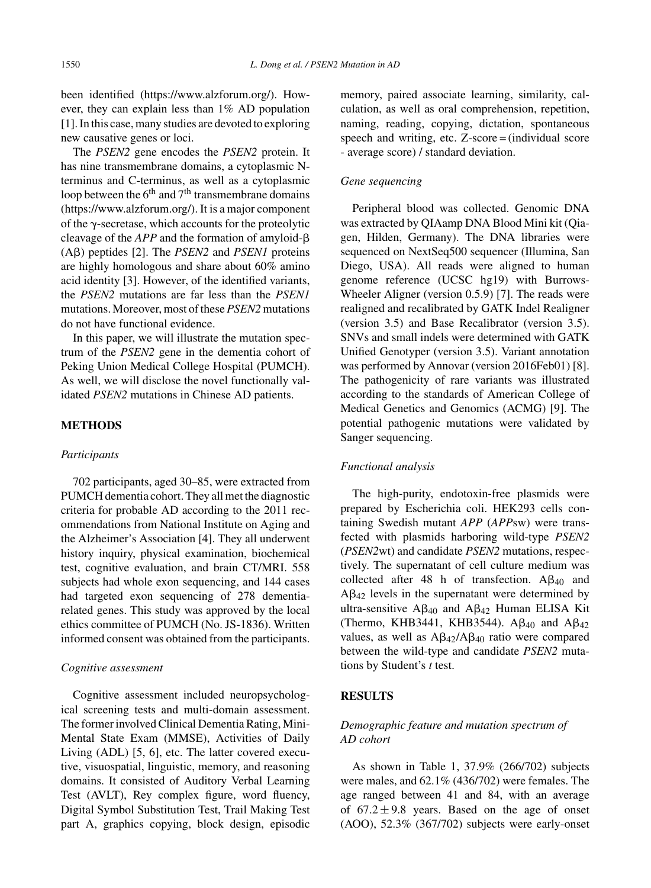been identified (<https://www.alzforum.org/>). However, they can explain less than 1% AD population [1]. In this case, many studies are devoted to exploring new causative genes or loci.

The *PSEN2* gene encodes the *PSEN2* protein. It has nine transmembrane domains, a cytoplasmic Nterminus and C-terminus, as well as a cytoplasmic loop between the  $6<sup>th</sup>$  and  $7<sup>th</sup>$  transmembrane domains [\(https://www.alzforum.org/\)](https://www.alzforum.org/). It is a major component of the  $\gamma$ -secretase, which accounts for the proteolytic cleavage of the  $APP$  and the formation of amyloid- $\beta$  $(A\beta)$  peptides [2]. The *PSEN2* and *PSEN1* proteins are highly homologous and share about 60% amino acid identity [3]. However, of the identified variants, the *PSEN2* mutations are far less than the *PSEN1* mutations. Moreover, most of these *PSEN2* mutations do not have functional evidence.

In this paper, we will illustrate the mutation spectrum of the *PSEN2* gene in the dementia cohort of Peking Union Medical College Hospital (PUMCH). As well, we will disclose the novel functionally validated *PSEN2* mutations in Chinese AD patients.

## **METHODS**

#### *Participants*

702 participants, aged 30–85, were extracted from PUMCH dementia cohort. They all met the diagnostic criteria for probable AD according to the 2011 recommendations from National Institute on Aging and the Alzheimer's Association [4]. They all underwent history inquiry, physical examination, biochemical test, cognitive evaluation, and brain CT/MRI. 558 subjects had whole exon sequencing, and 144 cases had targeted exon sequencing of 278 dementiarelated genes. This study was approved by the local ethics committee of PUMCH (No. JS-1836). Written informed consent was obtained from the participants.

#### *Cognitive assessment*

Cognitive assessment included neuropsychological screening tests and multi-domain assessment. The former involved Clinical Dementia Rating, Mini-Mental State Exam (MMSE), Activities of Daily Living (ADL) [5, 6], etc. The latter covered executive, visuospatial, linguistic, memory, and reasoning domains. It consisted of Auditory Verbal Learning Test (AVLT), Rey complex figure, word fluency, Digital Symbol Substitution Test, Trail Making Test part A, graphics copying, block design, episodic

memory, paired associate learning, similarity, calculation, as well as oral comprehension, repetition, naming, reading, copying, dictation, spontaneous speech and writing, etc. Z-score = (individual score - average score) / standard deviation.

### *Gene sequencing*

Peripheral blood was collected. Genomic DNA was extracted by QIAamp DNA Blood Mini kit (Qiagen, Hilden, Germany). The DNA libraries were sequenced on NextSeq500 sequencer (Illumina, San Diego, USA). All reads were aligned to human genome reference (UCSC hg19) with Burrows-Wheeler Aligner (version 0.5.9) [7]. The reads were realigned and recalibrated by GATK Indel Realigner (version 3.5) and Base Recalibrator (version 3.5). SNVs and small indels were determined with GATK Unified Genotyper (version 3.5). Variant annotation was performed by Annovar (version 2016Feb01) [8]. The pathogenicity of rare variants was illustrated according to the standards of American College of Medical Genetics and Genomics (ACMG) [9]. The potential pathogenic mutations were validated by Sanger sequencing.

#### *Functional analysis*

The high-purity, endotoxin-free plasmids were prepared by Escherichia coli. HEK293 cells containing Swedish mutant *APP* (*APP*sw) were transfected with plasmids harboring wild-type *PSEN2* (*PSEN2*wt) and candidate *PSEN2* mutations, respectively. The supernatant of cell culture medium was collected after 48 h of transfection.  $A\beta_{40}$  and  $A\beta_{42}$  levels in the supernatant were determined by ultra-sensitive  $A\beta_{40}$  and  $A\beta_{42}$  Human ELISA Kit (Thermo, KHB3441, KHB3544).  $\mathbf{A}\beta_{40}$  and  $\mathbf{A}\beta_{42}$ values, as well as  $A\beta_{42}/A\beta_{40}$  ratio were compared between the wild-type and candidate *PSEN2* mutations by Student's *t* test.

## **RESULTS**

# *Demographic feature and mutation spectrum of AD cohort*

As shown in Table 1, 37.9% (266/702) subjects were males, and 62.1% (436/702) were females. The age ranged between 41 and 84, with an average of  $67.2 \pm 9.8$  years. Based on the age of onset (AOO), 52.3% (367/702) subjects were early-onset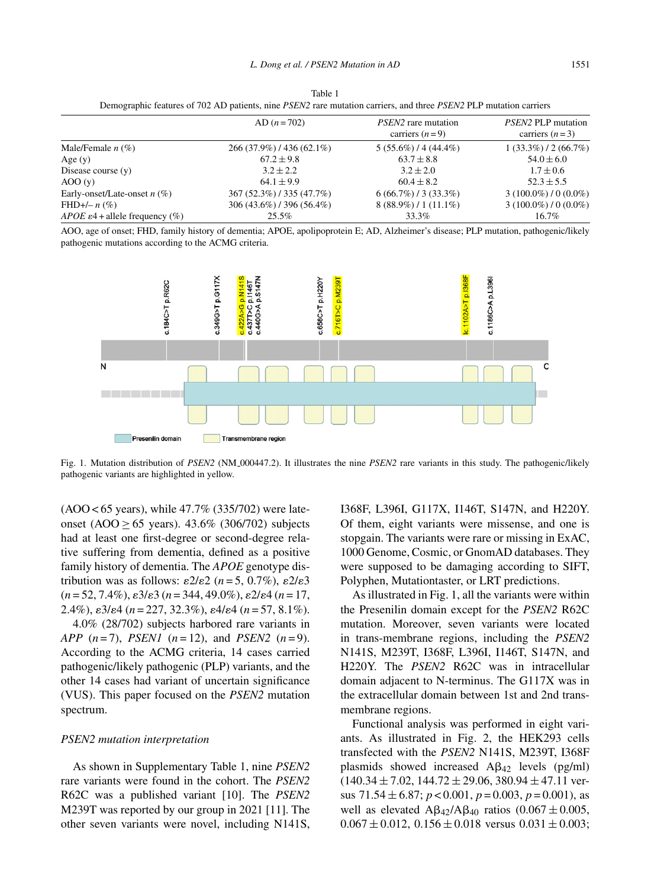| Demographic reatures of 702 AD patients, third F5Erv2 rate mutation carriers, and three F5Erv2 FEF mutation carriers |                           |                                                |                                               |
|----------------------------------------------------------------------------------------------------------------------|---------------------------|------------------------------------------------|-----------------------------------------------|
|                                                                                                                      | $AD (n = 702)$            | <i>PSEN2</i> rare mutation<br>carriers $(n=9)$ | <i>PSEN2</i> PLP mutation<br>carriers $(n=3)$ |
| Male/Female $n$ (%)                                                                                                  | $266(37.9\%)/436(62.1\%)$ | $5(55.6\%)/4(44.4\%)$                          | $1(33.3\%)/2(66.7\%)$                         |
| Age $(y)$                                                                                                            | $67.2 \pm 9.8$            | $63.7 \pm 8.8$                                 | $54.0 \pm 6.0$                                |
| Disease course $(y)$                                                                                                 | $3.2 + 2.2$               | $3.2 + 2.0$                                    | $1.7 \pm 0.6$                                 |
| AOO(y)                                                                                                               | $64.1 \pm 9.9$            | $60.4 \pm 8.2$                                 | $52.3 \pm 5.5$                                |
| Early-onset/Late-onset $n$ (%)                                                                                       | 367 (52.3%) / 335 (47.7%) | $6(66.7\%)/3(33.3\%)$                          | $3(100.0\%)/0(0.0\%)$                         |
| $FHD+/- n$ (%)                                                                                                       | 306 (43.6%) / 396 (56.4%) | $8(88.9\%) / 1(11.1\%)$                        | $3(100.0\%)/0(0.0\%)$                         |
| <i>APOE</i> $\varepsilon$ 4 + allele frequency (%)                                                                   | $25.5\%$                  | 33.3%                                          | $16.7\%$                                      |

Table 1 Demographic features of 702 AD patients, nine *PSEN2* rare mutation carriers, and three *PSEN2* PLP mutation carriers

AOO, age of onset; FHD, family history of dementia; APOE, apolipoprotein E; AD, Alzheimer's disease; PLP mutation, pathogenic/likely pathogenic mutations according to the ACMG criteria.



Fig. 1. Mutation distribution of *PSEN2* (NM 000447.2). It illustrates the nine *PSEN2* rare variants in this study. The pathogenic/likely pathogenic variants are highlighted in yellow.

(AOO < 65 years), while 47.7% (335/702) were lateonset (AOO ≥ 65 years). 43.6% (306/702) subjects had at least one first-degree or second-degree relative suffering from dementia, defined as a positive family history of dementia. The *APOE* genotype distribution was as follows:  $\epsilon 2/\epsilon 2$  ( $n = 5$ , 0.7%),  $\epsilon 2/\epsilon 3$ (*n* = 52, 7.4%), 3/3 (*n* = 344, 49.0%), 2/4 (*n* = 17, 2.4%),  $\epsilon 3/\epsilon 4$  ( $n = 227, 32.3\%$ ),  $\epsilon 4/\epsilon 4$  ( $n = 57, 8.1\%$ ).

4.0% (28/702) subjects harbored rare variants in *APP* (*n* = 7), *PSEN1* (*n* = 12), and *PSEN2* (*n* = 9). According to the ACMG criteria, 14 cases carried pathogenic/likely pathogenic (PLP) variants, and the other 14 cases had variant of uncertain significance (VUS). This paper focused on the *PSEN2* mutation spectrum.

#### *PSEN2 mutation interpretation*

As shown in Supplementary Table 1, nine *PSEN2* rare variants were found in the cohort. The *PSEN2* R62C was a published variant [10]. The *PSEN2* M239T was reported by our group in 2021 [11]. The other seven variants were novel, including N141S, I368F, L396I, G117X, I146T, S147N, and H220Y. Of them, eight variants were missense, and one is stopgain. The variants were rare or missing in ExAC, 1000 Genome, Cosmic, or GnomAD databases. They were supposed to be damaging according to SIFT, Polyphen, Mutationtaster, or LRT predictions.

As illustrated in Fig. 1, all the variants were within the Presenilin domain except for the *PSEN2* R62C mutation. Moreover, seven variants were located in trans-membrane regions, including the *PSEN2* N141S, M239T, I368F, L396I, I146T, S147N, and H220Y. The *PSEN2* R62C was in intracellular domain adjacent to N-terminus. The G117X was in the extracellular domain between 1st and 2nd transmembrane regions.

Functional analysis was performed in eight variants. As illustrated in Fig. 2, the HEK293 cells transfected with the *PSEN2* N141S, M239T, I368F plasmids showed increased  $A\beta_{42}$  levels (pg/ml)  $(140.34 \pm 7.02, 144.72 \pm 29.06, 380.94 \pm 47.11 \text{ ver-}$ sus 71.54 ± 6.87; *p* < 0.001, *p* = 0.003, *p* = 0.001), as well as elevated  $A\beta_{42}/A\beta_{40}$  ratios (0.067  $\pm$  0.005,  $0.067 \pm 0.012$ ,  $0.156 \pm 0.018$  versus  $0.031 \pm 0.003$ ;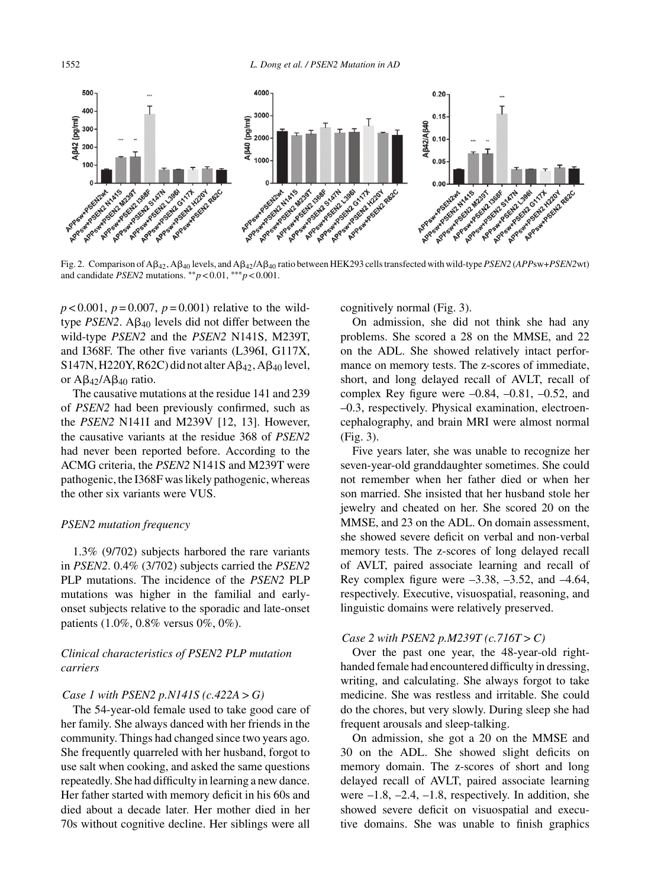1552 *L. Dong et al. / PSEN2 Mutation in AD*



Fig. 2. Comparison of Aβ<sub>42</sub>, Aβ<sub>40</sub> levels, and Aβ<sub>42</sub>/Aβ<sub>40</sub> ratio between HEK293 cells transfected with wild-type *PSEN2* (*APP*sw+*PSEN2* wt) and candidate *PSEN2* mutations. \*\* $p < 0.01$ , \*\*\* $p < 0.001$ .

 $p < 0.001$ ,  $p = 0.007$ ,  $p = 0.001$ ) relative to the wildtype  $PSEN2$ .  $\mathbf{A}\beta_{40}$  levels did not differ between the wild-type *PSEN2* and the *PSEN2* N141S, M239T, and I368F. The other five variants (L396I, G117X, S147N, H220Y, R62C) did not alter  $A\beta_{42}$ ,  $A\beta_{40}$  level, or  $A\beta_{42}/A\beta_{40}$  ratio.

The causative mutations at the residue 141 and 239 of *PSEN2* had been previously confirmed, such as the *PSEN2* N141I and M239V [12, 13]. However, the causative variants at the residue 368 of *PSEN2* had never been reported before. According to the ACMG criteria, the *PSEN2* N141S and M239T were pathogenic, the I368F was likely pathogenic, whereas the other six variants were VUS.

## *PSEN2 mutation frequency*

1.3% (9/702) subjects harbored the rare variants in *PSEN2*. 0.4% (3/702) subjects carried the *PSEN2* PLP mutations. The incidence of the *PSEN2* PLP mutations was higher in the familial and earlyonset subjects relative to the sporadic and late-onset patients (1.0%, 0.8% versus 0%, 0%).

# *Clinical characteristics of PSEN2 PLP mutation carriers*

#### *Case 1 with PSEN2 p.N141S (c.422A > G)*

The 54-year-old female used to take good care of her family. She always danced with her friends in the community. Things had changed since two years ago. She frequently quarreled with her husband, forgot to use salt when cooking, and asked the same questions repeatedly. She had difficulty in learning a new dance. Her father started with memory deficit in his 60s and died about a decade later. Her mother died in her 70s without cognitive decline. Her siblings were all

cognitively normal (Fig. 3).

On admission, she did not think she had any problems. She scored a 28 on the MMSE, and 22 on the ADL. She showed relatively intact performance on memory tests. The z-scores of immediate, short, and long delayed recall of AVLT, recall of complex Rey figure were  $-0.84$ ,  $-0.81$ ,  $-0.52$ , and –0.3, respectively. Physical examination, electroencephalography, and brain MRI were almost normal (Fig. 3).

Five years later, she was unable to recognize her seven-year-old granddaughter sometimes. She could not remember when her father died or when her son married. She insisted that her husband stole her jewelry and cheated on her. She scored 20 on the MMSE, and 23 on the ADL. On domain assessment, she showed severe deficit on verbal and non-verbal memory tests. The z-scores of long delayed recall of AVLT, paired associate learning and recall of Rey complex figure were  $-3.38, -3.52,$  and  $-4.64,$ respectively. Executive, visuospatial, reasoning, and linguistic domains were relatively preserved.

## *Case 2 with PSEN2 p.M239T (c.716T > C)*

Over the past one year, the 48-year-old righthanded female had encountered difficulty in dressing, writing, and calculating. She always forgot to take medicine. She was restless and irritable. She could do the chores, but very slowly. During sleep she had frequent arousals and sleep-talking.

On admission, she got a 20 on the MMSE and 30 on the ADL. She showed slight deficits on memory domain. The z-scores of short and long delayed recall of AVLT, paired associate learning were  $-1.8$ ,  $-2.4$ ,  $-1.8$ , respectively. In addition, she showed severe deficit on visuospatial and executive domains. She was unable to finish graphics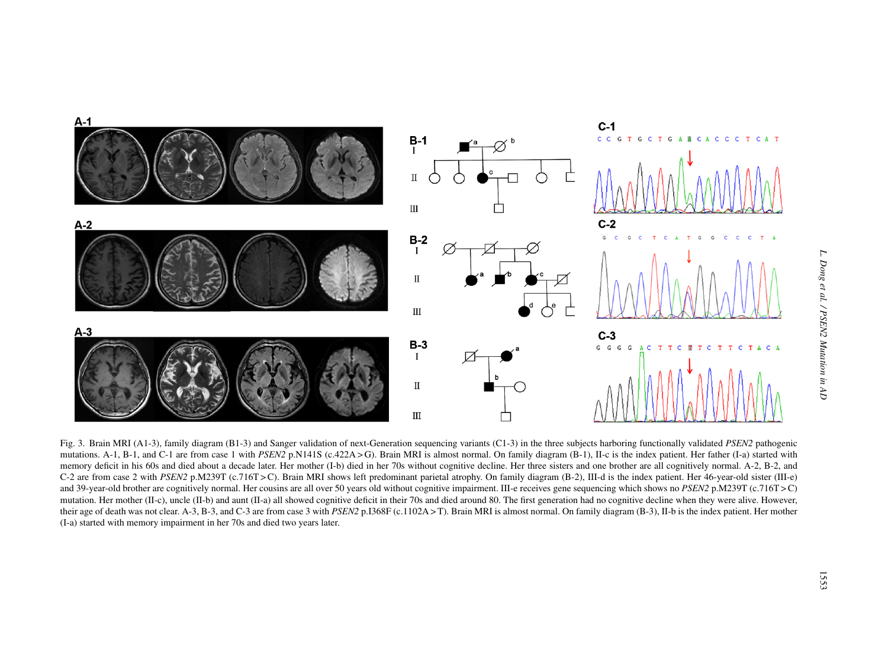

*L. Dong et al. / PSEN2 Mutation in AD*  $Dong\;et$ al. / PSEN2 Mutation in AD

Fig. 3. Brain MRI (A1-3), family diagram (B1-3) and Sanger validation of next-Generation sequencing variants (C1-3) in the three subjects harboring functionally validated *PSEN*2 pathogenic mutations. A-1, B-1, and C-1 ar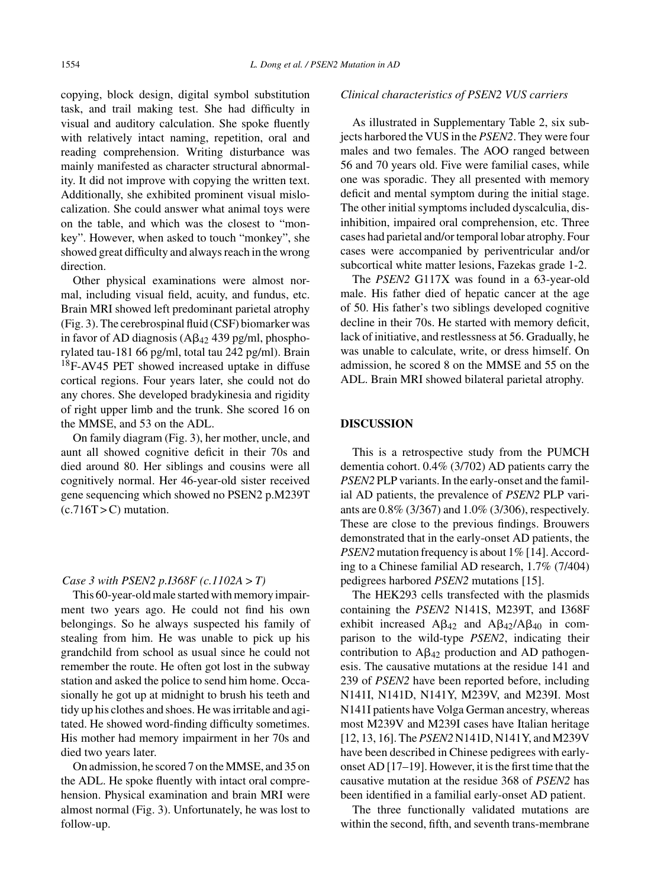copying, block design, digital symbol substitution task, and trail making test. She had difficulty in visual and auditory calculation. She spoke fluently with relatively intact naming, repetition, oral and reading comprehension. Writing disturbance was mainly manifested as character structural abnormality. It did not improve with copying the written text. Additionally, she exhibited prominent visual mislocalization. She could answer what animal toys were on the table, and which was the closest to "monkey". However, when asked to touch "monkey", she showed great difficulty and always reach in the wrong direction.

Other physical examinations were almost normal, including visual field, acuity, and fundus, etc. Brain MRI showed left predominant parietal atrophy (Fig. 3). The cerebrospinal fluid (CSF) biomarker was in favor of AD diagnosis ( $\text{A}\beta_{42}$  439 pg/ml, phosphorylated tau-181 66 pg/ml, total tau 242 pg/ml). Brain 18F-AV45 PET showed increased uptake in diffuse cortical regions. Four years later, she could not do any chores. She developed bradykinesia and rigidity of right upper limb and the trunk. She scored 16 on the MMSE, and 53 on the ADL.

On family diagram (Fig. 3), her mother, uncle, and aunt all showed cognitive deficit in their 70s and died around 80. Her siblings and cousins were all cognitively normal. Her 46-year-old sister received gene sequencing which showed no PSEN2 p.M239T  $(c.716T > C)$  mutation.

## *Case 3 with PSEN2 p.I368F (c.1102A > T)*

This 60-year-old male started with memory impairment two years ago. He could not find his own belongings. So he always suspected his family of stealing from him. He was unable to pick up his grandchild from school as usual since he could not remember the route. He often got lost in the subway station and asked the police to send him home. Occasionally he got up at midnight to brush his teeth and tidy up his clothes and shoes. He was irritable and agitated. He showed word-finding difficulty sometimes. His mother had memory impairment in her 70s and died two years later.

On admission, he scored 7 on the MMSE, and 35 on the ADL. He spoke fluently with intact oral comprehension. Physical examination and brain MRI were almost normal (Fig. 3). Unfortunately, he was lost to follow-up.

## *Clinical characteristics of PSEN2 VUS carriers*

As illustrated in Supplementary Table 2, six subjects harbored the VUS in the *PSEN2*. They were four males and two females. The AOO ranged between 56 and 70 years old. Five were familial cases, while one was sporadic. They all presented with memory deficit and mental symptom during the initial stage. The other initial symptoms included dyscalculia, disinhibition, impaired oral comprehension, etc. Three cases had parietal and/or temporal lobar atrophy. Four cases were accompanied by periventricular and/or subcortical white matter lesions, Fazekas grade 1-2.

The *PSEN2* G117X was found in a 63-year-old male. His father died of hepatic cancer at the age of 50. His father's two siblings developed cognitive decline in their 70s. He started with memory deficit, lack of initiative, and restlessness at 56. Gradually, he was unable to calculate, write, or dress himself. On admission, he scored 8 on the MMSE and 55 on the ADL. Brain MRI showed bilateral parietal atrophy.

#### **DISCUSSION**

This is a retrospective study from the PUMCH dementia cohort. 0.4% (3/702) AD patients carry the *PSEN2* PLP variants. In the early-onset and the familial AD patients, the prevalence of *PSEN2* PLP variants are 0.8% (3/367) and 1.0% (3/306), respectively. These are close to the previous findings. Brouwers demonstrated that in the early-onset AD patients, the *PSEN2* mutation frequency is about 1% [14]. According to a Chinese familial AD research, 1.7% (7/404) pedigrees harbored *PSEN2* mutations [15].

The HEK293 cells transfected with the plasmids containing the *PSEN2* N141S, M239T, and I368F exhibit increased  $A\beta_{42}$  and  $A\beta_{42}/A\beta_{40}$  in comparison to the wild-type *PSEN2*, indicating their contribution to  $A\beta_{42}$  production and AD pathogenesis. The causative mutations at the residue 141 and 239 of *PSEN2* have been reported before, including N141I, N141D, N141Y, M239V, and M239I. Most N141I patients have Volga German ancestry, whereas most M239V and M239I cases have Italian heritage [12, 13, 16]. The *PSEN2* N141D, N141Y, and M239V have been described in Chinese pedigrees with earlyonset AD [17–19]. However, it is the first time that the causative mutation at the residue 368 of *PSEN2* has been identified in a familial early-onset AD patient.

The three functionally validated mutations are within the second, fifth, and seventh trans-membrane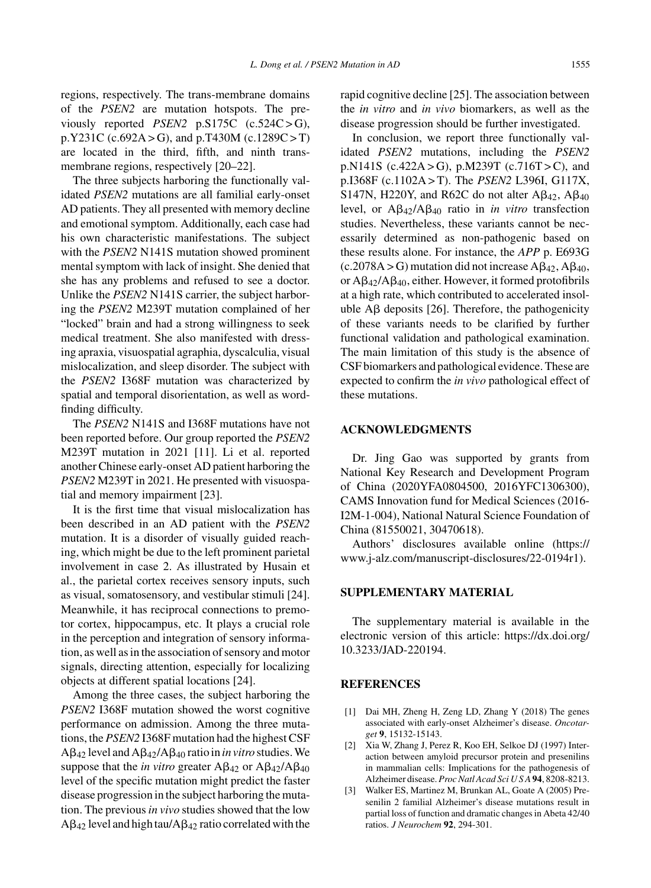regions, respectively. The trans-membrane domains of the *PSEN2* are mutation hotspots. The previously reported *PSEN2* p.S175C (c.524C > G), p.Y231C (c.692A > G), and p.T430M (c.1289C > T) are located in the third, fifth, and ninth transmembrane regions, respectively [20–22].

The three subjects harboring the functionally validated *PSEN2* mutations are all familial early-onset AD patients. They all presented with memory decline and emotional symptom. Additionally, each case had his own characteristic manifestations. The subject with the *PSEN2* N141S mutation showed prominent mental symptom with lack of insight. She denied that she has any problems and refused to see a doctor. Unlike the *PSEN2* N141S carrier, the subject harboring the *PSEN2* M239T mutation complained of her "locked" brain and had a strong willingness to seek medical treatment. She also manifested with dressing apraxia, visuospatial agraphia, dyscalculia, visual mislocalization, and sleep disorder. The subject with the *PSEN2* I368F mutation was characterized by spatial and temporal disorientation, as well as wordfinding difficulty.

The *PSEN2* N141S and I368F mutations have not been reported before. Our group reported the *PSEN2* M239T mutation in 2021 [11]. Li et al. reported another Chinese early-onset AD patient harboring the *PSEN2* M239T in 2021. He presented with visuospatial and memory impairment [23].

It is the first time that visual mislocalization has been described in an AD patient with the *PSEN2* mutation. It is a disorder of visually guided reaching, which might be due to the left prominent parietal involvement in case 2. As illustrated by Husain et al., the parietal cortex receives sensory inputs, such as visual, somatosensory, and vestibular stimuli [24]. Meanwhile, it has reciprocal connections to premotor cortex, hippocampus, etc. It plays a crucial role in the perception and integration of sensory information, as well as in the association of sensory and motor signals, directing attention, especially for localizing objects at different spatial locations [24].

Among the three cases, the subject harboring the *PSEN2* I368F mutation showed the worst cognitive performance on admission. Among the three mutations, the *PSEN2* I368F mutation had the highest CSF  $A\beta_{42}$  level and  $A\beta_{42}/A\beta_{40}$  ratio in *in vitro* studies. We suppose that the *in vitro* greater  $A\beta_{42}$  or  $A\beta_{42}/A\beta_{40}$ level of the specific mutation might predict the faster disease progression in the subject harboring the mutation. The previous*in vivo* studies showed that the low  $A\beta_{42}$  level and high tau/ $A\beta_{42}$  ratio correlated with the

rapid cognitive decline [25]. The association between the *in vitro* and *in vivo* biomarkers, as well as the disease progression should be further investigated.

In conclusion, we report three functionally validated *PSEN2* mutations, including the *PSEN2* p.N141S (c.422A > G), p.M239T (c.716T > C), and p.I368F (c.1102A > T). The *PSEN2* L396I, G117X, S147N, H220Y, and R62C do not alter  $\text{A}\beta_{42}$ ,  $\text{A}\beta_{40}$ level, or  $A\beta_{42}/A\beta_{40}$  ratio in *in vitro* transfection studies. Nevertheless, these variants cannot be necessarily determined as non-pathogenic based on these results alone. For instance, the *APP* p. E693G  $(c.2078A > G)$  mutation did not increase  $A\beta_{42}$ ,  $A\beta_{40}$ , or  $A\beta_{42}/A\beta_{40}$ , either. However, it formed protofibrils at a high rate, which contributed to accelerated insoluble  $\text{A}\beta$  deposits [26]. Therefore, the pathogenicity of these variants needs to be clarified by further functional validation and pathological examination. The main limitation of this study is the absence of CSF biomarkers and pathological evidence. These are expected to confirm the *in vivo* pathological effect of these mutations.

# **ACKNOWLEDGMENTS**

Dr. Jing Gao was supported by grants from National Key Research and Development Program of China (2020YFA0804500, 2016YFC1306300), CAMS Innovation fund for Medical Sciences (2016- I2M-1-004), National Natural Science Foundation of China (81550021, 30470618).

Authors' disclosures available online [\(https://](https://www.j-alz.com/manuscript-disclosures/22-0194r1) www.j-alz.com/manuscript-disclosures/22-0194r1).

# **SUPPLEMENTARY MATERIAL**

The supplementary material is available in the electronic version of this article: [https://dx.doi.org/](https://dx.doi.org/10.3233/JAD-220194) 10.3233/JAD-220194.

#### **REFERENCES**

- [1] Dai MH, Zheng H, Zeng LD, Zhang Y (2018) The genes associated with early-onset Alzheimer's disease. *Oncotarget* **9**, 15132-15143.
- [2] Xia W, Zhang J, Perez R, Koo EH, Selkoe DJ (1997) Interaction between amyloid precursor protein and presenilins in mammalian cells: Implications for the pathogenesis of Alzheimer disease. *Proc Natl Acad Sci U S A* **94**, 8208-8213.
- [3] Walker ES, Martinez M, Brunkan AL, Goate A (2005) Presenilin 2 familial Alzheimer's disease mutations result in partial loss of function and dramatic changes in Abeta 42/40 ratios. *J Neurochem* **92**, 294-301.